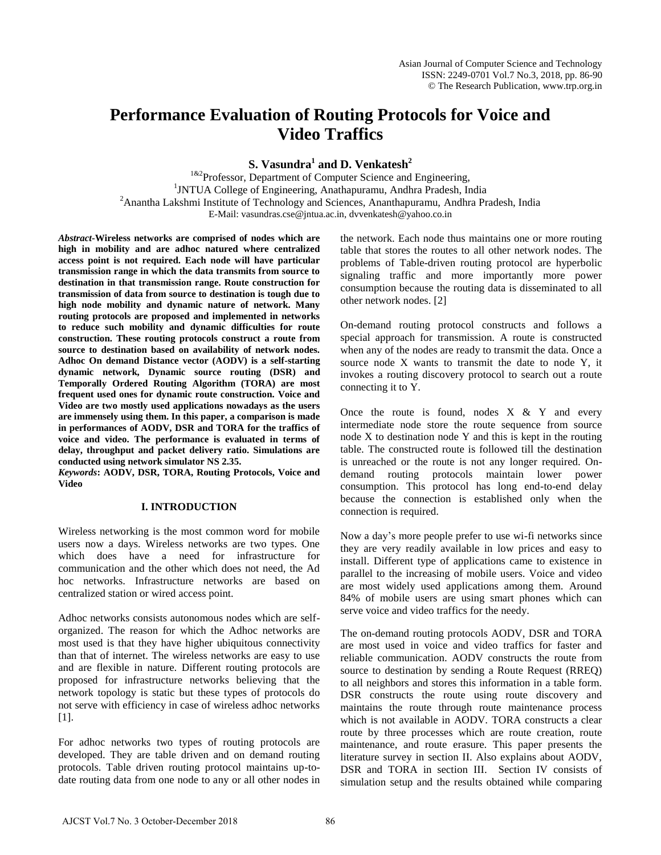# **Performance Evaluation of Routing Protocols for Voice and Video Traffics**

**S. Vasundra<sup>1</sup> and D. Venkatesh<sup>2</sup>**

<sup>1&2</sup>Professor, Department of Computer Science and Engineering, 1 JNTUA College of Engineering, Anathapuramu, Andhra Pradesh, India <sup>2</sup>Anantha Lakshmi Institute of Technology and Sciences, Ananthapuramu, Andhra Pradesh, India E-Mail: vasundras.cse@jntua.ac.in, dvvenkatesh@yahoo.co.in

*Abstract***-Wireless networks are comprised of nodes which are high in mobility and are adhoc natured where centralized access point is not required. Each node will have particular transmission range in which the data transmits from source to destination in that transmission range. Route construction for transmission of data from source to destination is tough due to high node mobility and dynamic nature of network. Many routing protocols are proposed and implemented in networks to reduce such mobility and dynamic difficulties for route construction. These routing protocols construct a route from source to destination based on availability of network nodes. Adhoc On demand Distance vector (AODV) is a self-starting dynamic network, Dynamic source routing (DSR) and Temporally Ordered Routing Algorithm (TORA) are most frequent used ones for dynamic route construction. Voice and Video are two mostly used applications nowadays as the users are immensely using them. In this paper, a comparison is made in performances of AODV, DSR and TORA for the traffics of voice and video. The performance is evaluated in terms of delay, throughput and packet delivery ratio. Simulations are conducted using network simulator NS 2.35.** 

*Keywords***: AODV, DSR, TORA, Routing Protocols, Voice and Video** 

#### **I. INTRODUCTION**

Wireless networking is the most common word for mobile users now a days. Wireless networks are two types. One which does have a need for infrastructure for communication and the other which does not need, the Ad hoc networks. Infrastructure networks are based on centralized station or wired access point.

Adhoc networks consists autonomous nodes which are selforganized. The reason for which the Adhoc networks are most used is that they have higher ubiquitous connectivity than that of internet. The wireless networks are easy to use and are flexible in nature. Different routing protocols are proposed for infrastructure networks believing that the network topology is static but these types of protocols do not serve with efficiency in case of wireless adhoc networks [1].

For adhoc networks two types of routing protocols are developed. They are table driven and on demand routing protocols. Table driven routing protocol maintains up-todate routing data from one node to any or all other nodes in

the network. Each node thus maintains one or more routing table that stores the routes to all other network nodes. The problems of Table-driven routing protocol are hyperbolic signaling traffic and more importantly more power consumption because the routing data is disseminated to all other network nodes. [2]

On-demand routing protocol constructs and follows a special approach for transmission. A route is constructed when any of the nodes are ready to transmit the data. Once a source node X wants to transmit the date to node Y, it invokes a routing discovery protocol to search out a route connecting it to Y.

Once the route is found, nodes  $X \& Y$  and every intermediate node store the route sequence from source node X to destination node Y and this is kept in the routing table. The constructed route is followed till the destination is unreached or the route is not any longer required. Ondemand routing protocols maintain lower power consumption. This protocol has long end-to-end delay because the connection is established only when the connection is required.

Now a day's more people prefer to use wi-fi networks since they are very readily available in low prices and easy to install. Different type of applications came to existence in parallel to the increasing of mobile users. Voice and video are most widely used applications among them. Around 84% of mobile users are using smart phones which can serve voice and video traffics for the needy.

The on-demand routing protocols AODV, DSR and TORA are most used in voice and video traffics for faster and reliable communication. AODV constructs the route from source to destination by sending a Route Request (RREQ) to all neighbors and stores this information in a table form. DSR constructs the route using route discovery and maintains the route through route maintenance process which is not available in AODV. TORA constructs a clear route by three processes which are route creation, route maintenance, and route erasure. This paper presents the literature survey in section II. Also explains about AODV, DSR and TORA in section III. Section IV consists of simulation setup and the results obtained while comparing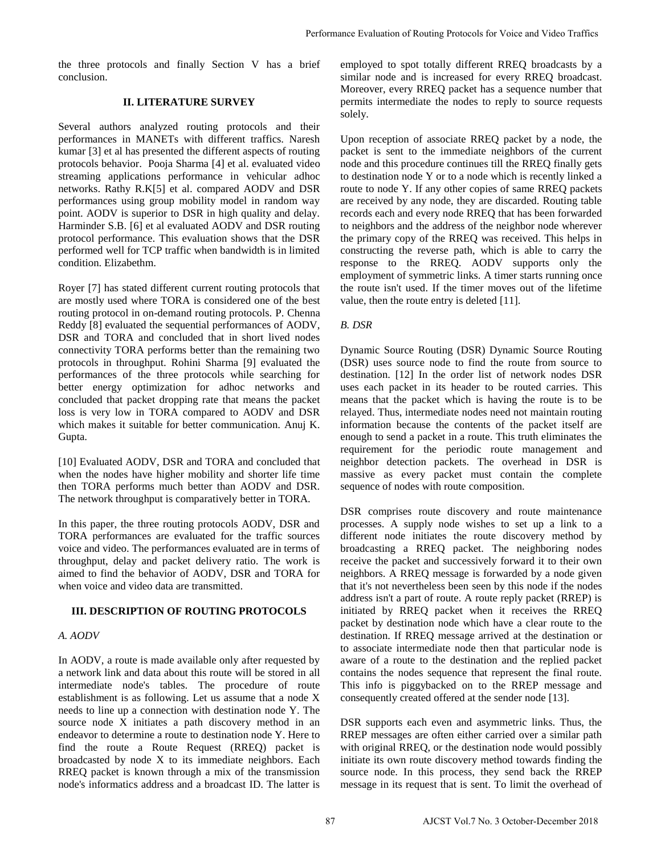the three protocols and finally Section V has a brief conclusion.

## **II. LITERATURE SURVEY**

Several authors analyzed routing protocols and their performances in MANETs with different traffics. Naresh kumar [3] et al has presented the different aspects of routing protocols behavior. Pooja Sharma [4] et al. evaluated video streaming applications performance in vehicular adhoc networks. Rathy R.K[5] et al. compared AODV and DSR performances using group mobility model in random way point. AODV is superior to DSR in high quality and delay. Harminder S.B. [6] et al evaluated AODV and DSR routing protocol performance. This evaluation shows that the DSR performed well for TCP traffic when bandwidth is in limited condition. Elizabethm.

Royer [7] has stated different current routing protocols that are mostly used where TORA is considered one of the best routing protocol in on-demand routing protocols. P. Chenna Reddy [8] evaluated the sequential performances of AODV, DSR and TORA and concluded that in short lived nodes connectivity TORA performs better than the remaining two protocols in throughput. Rohini Sharma [9] evaluated the performances of the three protocols while searching for better energy optimization for adhoc networks and concluded that packet dropping rate that means the packet loss is very low in TORA compared to AODV and DSR which makes it suitable for better communication. Anuj K. Gupta.

[10] Evaluated AODV, DSR and TORA and concluded that when the nodes have higher mobility and shorter life time then TORA performs much better than AODV and DSR. The network throughput is comparatively better in TORA.

In this paper, the three routing protocols AODV, DSR and TORA performances are evaluated for the traffic sources voice and video. The performances evaluated are in terms of throughput, delay and packet delivery ratio. The work is aimed to find the behavior of AODV, DSR and TORA for when voice and video data are transmitted.

## **III. DESCRIPTION OF ROUTING PROTOCOLS**

## *A. AODV*

In AODV, a route is made available only after requested by a network link and data about this route will be stored in all intermediate node's tables. The procedure of route establishment is as following. Let us assume that a node X needs to line up a connection with destination node Y. The source node X initiates a path discovery method in an endeavor to determine a route to destination node Y. Here to find the route a Route Request (RREQ) packet is broadcasted by node X to its immediate neighbors. Each RREQ packet is known through a mix of the transmission node's informatics address and a broadcast ID. The latter is employed to spot totally different RREQ broadcasts by a similar node and is increased for every RREQ broadcast. Moreover, every RREQ packet has a sequence number that permits intermediate the nodes to reply to source requests solely.

Upon reception of associate RREQ packet by a node, the packet is sent to the immediate neighbors of the current node and this procedure continues till the RREQ finally gets to destination node Y or to a node which is recently linked a route to node Y. If any other copies of same RREQ packets are received by any node, they are discarded. Routing table records each and every node RREQ that has been forwarded to neighbors and the address of the neighbor node wherever the primary copy of the RREQ was received. This helps in constructing the reverse path, which is able to carry the response to the RREQ. AODV supports only the employment of symmetric links. A timer starts running once the route isn't used. If the timer moves out of the lifetime value, then the route entry is deleted [11].

## *B. DSR*

Dynamic Source Routing (DSR) Dynamic Source Routing (DSR) uses source node to find the route from source to destination. [12] In the order list of network nodes DSR uses each packet in its header to be routed carries. This means that the packet which is having the route is to be relayed. Thus, intermediate nodes need not maintain routing information because the contents of the packet itself are enough to send a packet in a route. This truth eliminates the requirement for the periodic route management and neighbor detection packets. The overhead in DSR is massive as every packet must contain the complete sequence of nodes with route composition.

DSR comprises route discovery and route maintenance processes. A supply node wishes to set up a link to a different node initiates the route discovery method by broadcasting a RREQ packet. The neighboring nodes receive the packet and successively forward it to their own neighbors. A RREQ message is forwarded by a node given that it's not nevertheless been seen by this node if the nodes address isn't a part of route. A route reply packet (RREP) is initiated by RREQ packet when it receives the RREQ packet by destination node which have a clear route to the destination. If RREQ message arrived at the destination or to associate intermediate node then that particular node is aware of a route to the destination and the replied packet contains the nodes sequence that represent the final route. This info is piggybacked on to the RREP message and consequently created offered at the sender node [13]. Performance Fvaluation of Routing Protocols for Voice and Video Traffics<br>
eif comployed to sport trathly different RRFQ broadcasts by<br>
Moreover, every RRFQ pracket has a sequence number that<br>
wherever, every RRFQ pracket h

DSR supports each even and asymmetric links. Thus, the RREP messages are often either carried over a similar path with original RREQ, or the destination node would possibly initiate its own route discovery method towards finding the source node. In this process, they send back the RREP message in its request that is sent. To limit the overhead of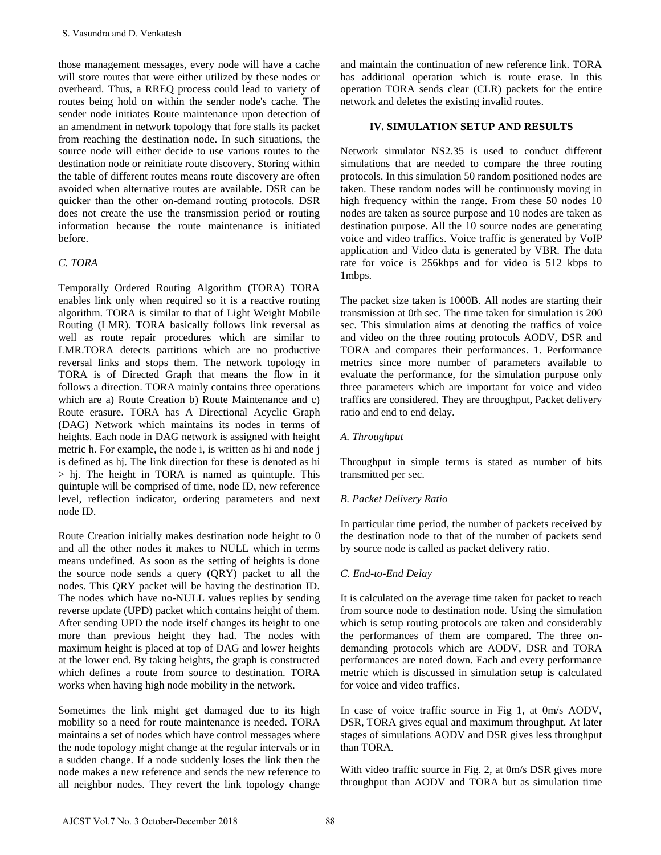those management messages, every node will have a cache will store routes that were either utilized by these nodes or overheard. Thus, a RREQ process could lead to variety of routes being hold on within the sender node's cache. The sender node initiates Route maintenance upon detection of an amendment in network topology that fore stalls its packet from reaching the destination node. In such situations, the source node will either decide to use various routes to the destination node or reinitiate route discovery. Storing within the table of different routes means route discovery are often avoided when alternative routes are available. DSR can be quicker than the other on-demand routing protocols. DSR does not create the use the transmission period or routing information because the route maintenance is initiated before.

# *C. TORA*

Temporally Ordered Routing Algorithm (TORA) TORA enables link only when required so it is a reactive routing algorithm. TORA is similar to that of Light Weight Mobile Routing (LMR). TORA basically follows link reversal as well as route repair procedures which are similar to LMR.TORA detects partitions which are no productive reversal links and stops them. The network topology in TORA is of Directed Graph that means the flow in it follows a direction. TORA mainly contains three operations which are a) Route Creation b) Route Maintenance and c) Route erasure. TORA has A Directional Acyclic Graph (DAG) Network which maintains its nodes in terms of heights. Each node in DAG network is assigned with height metric h. For example, the node i, is written as hi and node j is defined as hj. The link direction for these is denoted as hi > hj. The height in TORA is named as quintuple. This quintuple will be comprised of time, node ID, new reference level, reflection indicator, ordering parameters and next node ID. S. Vasundra and D. Venkatesh<br>
those management messages, every node will have a cache<br>
theil store, muuss that were civitor will root by these modes or<br>
well store unuss that were civitor will reach to wirely of<br>
with the

Route Creation initially makes destination node height to 0 and all the other nodes it makes to NULL which in terms means undefined. As soon as the setting of heights is done the source node sends a query (QRY) packet to all the nodes. This QRY packet will be having the destination ID. The nodes which have no-NULL values replies by sending reverse update (UPD) packet which contains height of them. After sending UPD the node itself changes its height to one more than previous height they had. The nodes with maximum height is placed at top of DAG and lower heights at the lower end. By taking heights, the graph is constructed which defines a route from source to destination. TORA works when having high node mobility in the network.

Sometimes the link might get damaged due to its high mobility so a need for route maintenance is needed. TORA maintains a set of nodes which have control messages where the node topology might change at the regular intervals or in a sudden change. If a node suddenly loses the link then the node makes a new reference and sends the new reference to all neighbor nodes. They revert the link topology change and maintain the continuation of new reference link. TORA has additional operation which is route erase. In this operation TORA sends clear (CLR) packets for the entire network and deletes the existing invalid routes.

## **IV. SIMULATION SETUP AND RESULTS**

Network simulator NS2.35 is used to conduct different simulations that are needed to compare the three routing protocols. In this simulation 50 random positioned nodes are taken. These random nodes will be continuously moving in high frequency within the range. From these 50 nodes 10 nodes are taken as source purpose and 10 nodes are taken as destination purpose. All the 10 source nodes are generating voice and video traffics. Voice traffic is generated by VoIP application and Video data is generated by VBR. The data rate for voice is 256kbps and for video is 512 kbps to 1mbps.

The packet size taken is 1000B. All nodes are starting their transmission at 0th sec. The time taken for simulation is 200 sec. This simulation aims at denoting the traffics of voice and video on the three routing protocols AODV, DSR and TORA and compares their performances. 1. Performance metrics since more number of parameters available to evaluate the performance, for the simulation purpose only three parameters which are important for voice and video traffics are considered. They are throughput, Packet delivery ratio and end to end delay.

# *A. Throughput*

Throughput in simple terms is stated as number of bits transmitted per sec.

# *B. Packet Delivery Ratio*

In particular time period, the number of packets received by the destination node to that of the number of packets send by source node is called as packet delivery ratio.

## *C. End-to-End Delay*

It is calculated on the average time taken for packet to reach from source node to destination node. Using the simulation which is setup routing protocols are taken and considerably the performances of them are compared. The three ondemanding protocols which are AODV, DSR and TORA performances are noted down. Each and every performance metric which is discussed in simulation setup is calculated for voice and video traffics.

In case of voice traffic source in Fig 1, at 0m/s AODV, DSR, TORA gives equal and maximum throughput. At later stages of simulations AODV and DSR gives less throughput than TORA.

With video traffic source in Fig. 2, at 0m/s DSR gives more throughput than AODV and TORA but as simulation time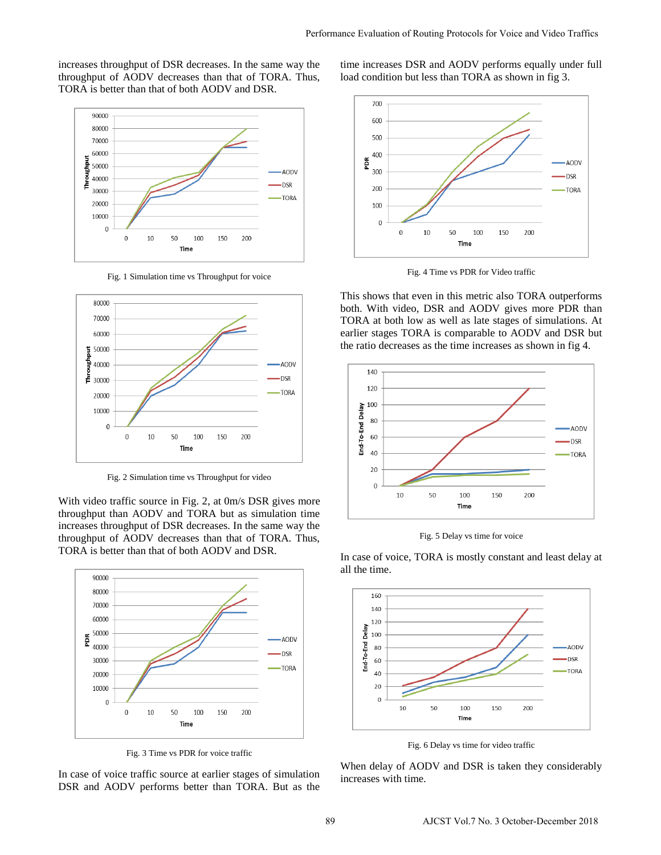increases throughput of DSR decreases. In the same way the throughput of AODV decreases than that of TORA. Thus, TORA is better than that of both AODV and DSR.



Fig. 1 Simulation time vs Throughput for voice



Fig. 2 Simulation time vs Throughput for video

With video traffic source in Fig. 2, at 0m/s DSR gives more throughput than AODV and TORA but as simulation time increases throughput of DSR decreases. In the same way the throughput of AODV decreases than that of TORA. Thus, TORA is better than that of both AODV and DSR.



Fig. 3 Time vs PDR for voice traffic

In case of voice traffic source at earlier stages of simulation DSR and AODV performs better than TORA. But as the

time increases DSR and AODV performs equally under full load condition but less than TORA as shown in fig 3.



Fig. 4 Time vs PDR for Video traffic

This shows that even in this metric also TORA outperforms both. With video, DSR and AODV gives more PDR than TORA at both low as well as late stages of simulations. At earlier stages TORA is comparable to AODV and DSR but the ratio decreases as the time increases as shown in fig 4.



Fig. 5 Delay vs time for voice

In case of voice, TORA is mostly constant and least delay at all the time.



Fig. 6 Delay vs time for video traffic

When delay of AODV and DSR is taken they considerably increases with time.